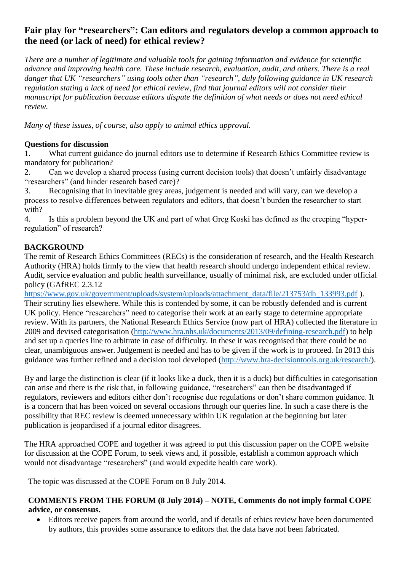# **Fair play for "researchers": Can editors and regulators develop a common approach to the need (or lack of need) for ethical review?**

*There are a number of legitimate and valuable tools for gaining information and evidence for scientific advance and improving health care. These include research, evaluation, audit, and others. There is a real danger that UK "researchers" using tools other than "research", duly following guidance in UK research regulation stating a lack of need for ethical review, find that journal editors will not consider their manuscript for publication because editors dispute the definition of what needs or does not need ethical review.*

*Many of these issues, of course, also apply to animal ethics approval.*

## **Questions for discussion**

1. What current guidance do journal editors use to determine if Research Ethics Committee review is mandatory for publication?

2. Can we develop a shared process (using current decision tools) that doesn't unfairly disadvantage "researchers" (and hinder research based care)?

3. Recognising that in inevitable grey areas, judgement is needed and will vary, can we develop a process to resolve differences between regulators and editors, that doesn't burden the researcher to start with?

4. Is this a problem beyond the UK and part of what Greg Koski has defined as the creeping "hyperregulation" of research?

## **BACKGROUND**

The remit of Research Ethics Committees (RECs) is the consideration of research, and the Health Research Authority (HRA) holds firmly to the view that health research should undergo independent ethical review. Audit, service evaluation and public health surveillance, usually of minimal risk, are excluded under official policy (GAfREC 2.3.12

[https://www.gov.uk/government/uploads/system/uploads/attachment\\_data/file/213753/dh\\_133993.pdf](https://www.gov.uk/government/uploads/system/uploads/attachment_data/file/213753/dh_133993.pdf) ). Their scrutiny lies elsewhere. While this is contended by some, it can be robustly defended and is current UK policy. Hence "researchers" need to categorise their work at an early stage to determine appropriate review. With its partners, the National Research Ethics Service (now part of HRA) collected the literature in 2009 and devised categorisation [\(http://www.hra.nhs.uk/documents/2013/09/defining-research.pdf\)](http://www.hra.nhs.uk/documents/2013/09/defining-research.pdf) to help and set up a queries line to arbitrate in case of difficulty. In these it was recognised that there could be no clear, unambiguous answer. Judgement is needed and has to be given if the work is to proceed. In 2013 this guidance was further refined and a decision tool developed [\(http://www.hra-decisiontools.org.uk/research/\)](http://www.hra-decisiontools.org.uk/research/).

By and large the distinction is clear (if it looks like a duck, then it is a duck) but difficulties in categorisation can arise and there is the risk that, in following guidance, "researchers" can then be disadvantaged if regulators, reviewers and editors either don't recognise due regulations or don't share common guidance. It is a concern that has been voiced on several occasions through our queries line. In such a case there is the possibility that REC review is deemed unnecessary within UK regulation at the beginning but later publication is jeopardised if a journal editor disagrees.

The HRA approached COPE and together it was agreed to put this discussion paper on the COPE website for discussion at the COPE Forum, to seek views and, if possible, establish a common approach which would not disadvantage "researchers" (and would expedite health care work).

The topic was discussed at the COPE Forum on 8 July 2014.

#### **COMMENTS FROM THE FORUM (8 July 2014) – NOTE, Comments do not imply formal COPE advice, or consensus.**

 Editors receive papers from around the world, and if details of ethics review have been documented by authors, this provides some assurance to editors that the data have not been fabricated.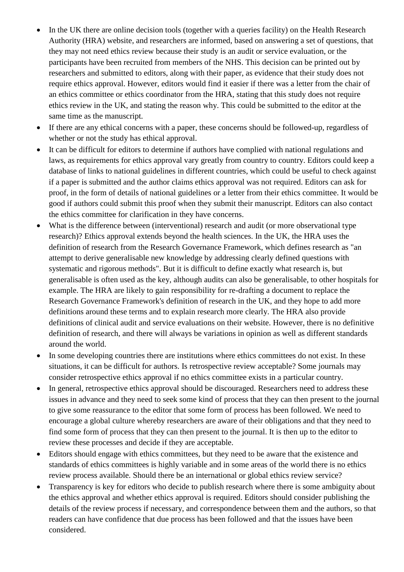- In the UK there are online decision tools (together with a queries facility) on the Health Research Authority (HRA) website, and researchers are informed, based on answering a set of questions, that they may not need ethics review because their study is an audit or service evaluation, or the participants have been recruited from members of the NHS. This decision can be printed out by researchers and submitted to editors, along with their paper, as evidence that their study does not require ethics approval. However, editors would find it easier if there was a letter from the chair of an ethics committee or ethics coordinator from the HRA, stating that this study does not require ethics review in the UK, and stating the reason why. This could be submitted to the editor at the same time as the manuscript.
- If there are any ethical concerns with a paper, these concerns should be followed-up, regardless of whether or not the study has ethical approval.
- It can be difficult for editors to determine if authors have complied with national regulations and laws, as requirements for ethics approval vary greatly from country to country. Editors could keep a database of links to national guidelines in different countries, which could be useful to check against if a paper is submitted and the author claims ethics approval was not required. Editors can ask for proof, in the form of details of national guidelines or a letter from their ethics committee. It would be good if authors could submit this proof when they submit their manuscript. Editors can also contact the ethics committee for clarification in they have concerns.
- What is the difference between (interventional) research and audit (or more observational type research)? Ethics approval extends beyond the health sciences. In the UK, the HRA uses the definition of research from the Research Governance Framework, which defines research as "an attempt to derive generalisable new knowledge by addressing clearly defined questions with systematic and rigorous methods". But it is difficult to define exactly what research is, but generalisable is often used as the key, although audits can also be generalisable, to other hospitals for example. The HRA are likely to gain responsibility for re-drafting a document to replace the Research Governance Framework's definition of research in the UK, and they hope to add more definitions around these terms and to explain research more clearly. The HRA also provide definitions of clinical audit and service evaluations on their website. However, there is no definitive definition of research, and there will always be variations in opinion as well as different standards around the world.
- In some developing countries there are institutions where ethics committees do not exist. In these situations, it can be difficult for authors. Is retrospective review acceptable? Some journals may consider retrospective ethics approval if no ethics committee exists in a particular country.
- In general, retrospective ethics approval should be discouraged. Researchers need to address these issues in advance and they need to seek some kind of process that they can then present to the journal to give some reassurance to the editor that some form of process has been followed. We need to encourage a global culture whereby researchers are aware of their obligations and that they need to find some form of process that they can then present to the journal. It is then up to the editor to review these processes and decide if they are acceptable.
- Editors should engage with ethics committees, but they need to be aware that the existence and standards of ethics committees is highly variable and in some areas of the world there is no ethics review process available. Should there be an international or global ethics review service?
- Transparency is key for editors who decide to publish research where there is some ambiguity about the ethics approval and whether ethics approval is required. Editors should consider publishing the details of the review process if necessary, and correspondence between them and the authors, so that readers can have confidence that due process has been followed and that the issues have been considered.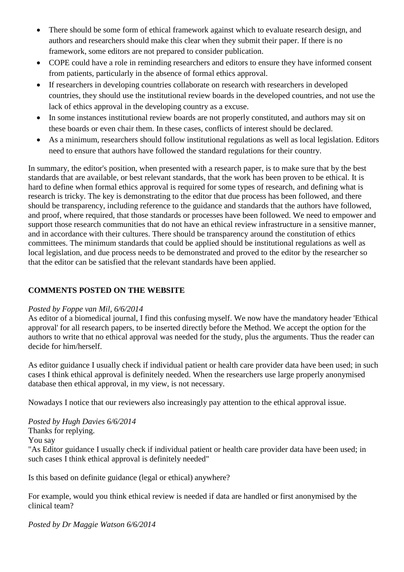- There should be some form of ethical framework against which to evaluate research design, and authors and researchers should make this clear when they submit their paper. If there is no framework, some editors are not prepared to consider publication.
- COPE could have a role in reminding researchers and editors to ensure they have informed consent from patients, particularly in the absence of formal ethics approval.
- If researchers in developing countries collaborate on research with researchers in developed countries, they should use the institutional review boards in the developed countries, and not use the lack of ethics approval in the developing country as a excuse.
- In some instances institutional review boards are not properly constituted, and authors may sit on these boards or even chair them. In these cases, conflicts of interest should be declared.
- As a minimum, researchers should follow institutional regulations as well as local legislation. Editors need to ensure that authors have followed the standard regulations for their country.

In summary, the editor's position, when presented with a research paper, is to make sure that by the best standards that are available, or best relevant standards, that the work has been proven to be ethical. It is hard to define when formal ethics approval is required for some types of research, and defining what is research is tricky. The key is demonstrating to the editor that due process has been followed, and there should be transparency, including reference to the guidance and standards that the authors have followed, and proof, where required, that those standards or processes have been followed. We need to empower and support those research communities that do not have an ethical review infrastructure in a sensitive manner, and in accordance with their cultures. There should be transparency around the constitution of ethics committees. The minimum standards that could be applied should be institutional regulations as well as local legislation, and due process needs to be demonstrated and proved to the editor by the researcher so that the editor can be satisfied that the relevant standards have been applied.

## **COMMENTS POSTED ON THE WEBSITE**

## *Posted by Foppe van Mil, 6/6/2014*

As editor of a biomedical journal, I find this confusing myself. We now have the mandatory header 'Ethical approval' for all research papers, to be inserted directly before the Method. We accept the option for the authors to write that no ethical approval was needed for the study, plus the arguments. Thus the reader can decide for him/herself.

As editor guidance I usually check if individual patient or health care provider data have been used; in such cases I think ethical approval is definitely needed. When the researchers use large properly anonymised database then ethical approval, in my view, is not necessary.

Nowadays I notice that our reviewers also increasingly pay attention to the ethical approval issue.

*Posted by Hugh Davies 6/6/2014* Thanks for replying. You say "As Editor guidance I usually check if individual patient or health care provider data have been used; in such cases I think ethical approval is definitely needed"

Is this based on definite guidance (legal or ethical) anywhere?

For example, would you think ethical review is needed if data are handled or first anonymised by the clinical team?

*Posted by Dr Maggie Watson 6/6/2014*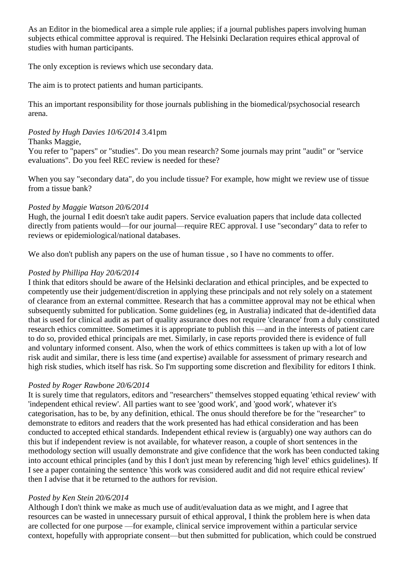As an Editor in the biomedical area a simple rule applies; if a journal publishes papers involving human subjects ethical committee approval is required. The Helsinki Declaration requires ethical approval of studies with human participants.

The only exception is reviews which use secondary data.

The aim is to protect patients and human participants.

This an important responsibility for those journals publishing in the biomedical/psychosocial research arena.

## *Posted by Hugh Davies 10/6/2014* 3.41pm

#### Thanks Maggie,

You refer to "papers" or "studies". Do you mean research? Some journals may print "audit" or "service evaluations". Do you feel REC review is needed for these?

When you say "secondary data", do you include tissue? For example, how might we review use of tissue from a tissue bank?

#### *Posted by Maggie Watson 20/6/2014*

Hugh, the journal I edit doesn't take audit papers. Service evaluation papers that include data collected directly from patients would—for our journal—require REC approval. I use "secondary" data to refer to reviews or epidemiological/national databases.

We also don't publish any papers on the use of human tissue, so I have no comments to offer.

## *Posted by Phillipa Hay 20/6/2014*

I think that editors should be aware of the Helsinki declaration and ethical principles, and be expected to competently use their judgement/discretion in applying these principals and not rely solely on a statement of clearance from an external committee. Research that has a committee approval may not be ethical when subsequently submitted for publication. Some guidelines (eg, in Australia) indicated that de-identified data that is used for clinical audit as part of quality assurance does not require 'clearance' from a duly constituted research ethics committee. Sometimes it is appropriate to publish this —and in the interests of patient care to do so, provided ethical principals are met. Similarly, in case reports provided there is evidence of full and voluntary informed consent. Also, when the work of ethics committees is taken up with a lot of low risk audit and similar, there is less time (and expertise) available for assessment of primary research and high risk studies, which itself has risk. So I'm supporting some discretion and flexibility for editors I think.

## *Posted by Roger Rawbone 20/6/2014*

It is surely time that regulators, editors and "researchers" themselves stopped equating 'ethical review' with 'independent ethical review'. All parties want to see 'good work', and 'good work', whatever it's categorisation, has to be, by any definition, ethical. The onus should therefore be for the "researcher" to demonstrate to editors and readers that the work presented has had ethical consideration and has been conducted to accepted ethical standards. Independent ethical review is (arguably) one way authors can do this but if independent review is not available, for whatever reason, a couple of short sentences in the methodology section will usually demonstrate and give confidence that the work has been conducted taking into account ethical principles (and by this I don't just mean by referencing 'high level' ethics guidelines). If I see a paper containing the sentence 'this work was considered audit and did not require ethical review' then I advise that it be returned to the authors for revision.

#### *Posted by Ken Stein 20/6/2014*

Although I don't think we make as much use of audit/evaluation data as we might, and I agree that resources can be wasted in unnecessary pursuit of ethical approval, I think the problem here is when data are collected for one purpose —for example, clinical service improvement within a particular service context, hopefully with appropriate consent—but then submitted for publication, which could be construed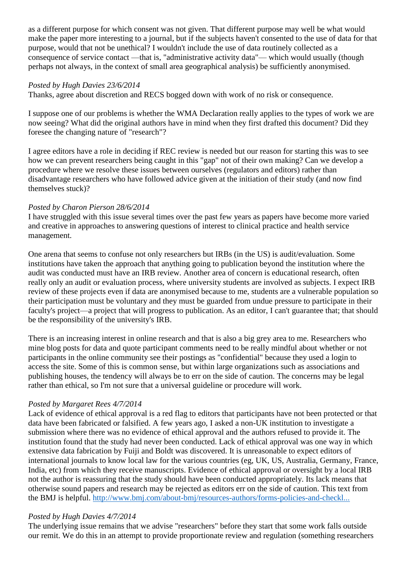as a different purpose for which consent was not given. That different purpose may well be what would make the paper more interesting to a journal, but if the subjects haven't consented to the use of data for that purpose, would that not be unethical? I wouldn't include the use of data routinely collected as a consequence of service contact —that is, "administrative activity data"— which would usually (though perhaps not always, in the context of small area geographical analysis) be sufficiently anonymised.

#### *Posted by Hugh Davies 23/6/2014*

Thanks, agree about discretion and RECS bogged down with work of no risk or consequence.

I suppose one of our problems is whether the WMA Declaration really applies to the types of work we are now seeing? What did the original authors have in mind when they first drafted this document? Did they foresee the changing nature of "research"?

I agree editors have a role in deciding if REC review is needed but our reason for starting this was to see how we can prevent researchers being caught in this "gap" not of their own making? Can we develop a procedure where we resolve these issues between ourselves (regulators and editors) rather than disadvantage researchers who have followed advice given at the initiation of their study (and now find themselves stuck)?

#### *Posted by Charon Pierson 28/6/2014*

I have struggled with this issue several times over the past few years as papers have become more varied and creative in approaches to answering questions of interest to clinical practice and health service management.

One arena that seems to confuse not only researchers but IRBs (in the US) is audit/evaluation. Some institutions have taken the approach that anything going to publication beyond the institution where the audit was conducted must have an IRB review. Another area of concern is educational research, often really only an audit or evaluation process, where university students are involved as subjects. I expect IRB review of these projects even if data are anonymised because to me, students are a vulnerable population so their participation must be voluntary and they must be guarded from undue pressure to participate in their faculty's project—a project that will progress to publication. As an editor, I can't guarantee that; that should be the responsibility of the university's IRB.

There is an increasing interest in online research and that is also a big grey area to me. Researchers who mine blog posts for data and quote participant comments need to be really mindful about whether or not participants in the online community see their postings as "confidential" because they used a login to access the site. Some of this is common sense, but within large organizations such as associations and publishing houses, the tendency will always be to err on the side of caution. The concerns may be legal rather than ethical, so I'm not sure that a universal guideline or procedure will work.

## *Posted by Margaret Rees 4/7/2014*

Lack of evidence of ethical approval is a red flag to editors that participants have not been protected or that data have been fabricated or falsified. A few years ago, I asked a non-UK institution to investigate a submission where there was no evidence of ethical approval and the authors refused to provide it. The institution found that the study had never been conducted. Lack of ethical approval was one way in which extensive data fabrication by Fuiji and Boldt was discovered. It is unreasonable to expect editors of international journals to know local law for the various countries (eg, UK, US, Australia, Germany, France, India, etc) from which they receive manuscripts. Evidence of ethical approval or oversight by a local IRB not the author is reassuring that the study should have been conducted appropriately. Its lack means that otherwise sound papers and research may be rejected as editors err on the side of caution. This text from the BMJ is helpful. [http://www.bmj.com/about-bmj/resources-authors/forms-policies-and-checkl...](http://www.bmj.com/about-bmj/resources-authors/forms-policies-and-checklists/ethics-approval-research)

#### *Posted by Hugh Davies 4/7/2014*

The underlying issue remains that we advise "researchers" before they start that some work falls outside our remit. We do this in an attempt to provide proportionate review and regulation (something researchers